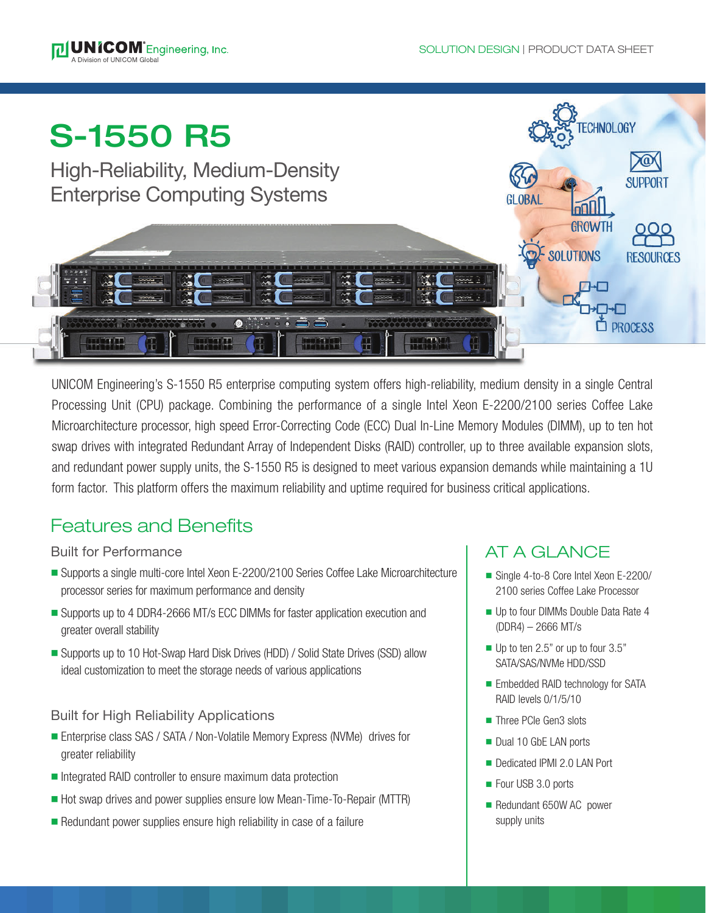



UNICOM Engineering's S-1550 R5 enterprise computing system offers high-reliability, medium density in a single Central Processing Unit (CPU) package. Combining the performance of a single Intel Xeon E-2200/2100 series Coffee Lake Microarchitecture processor, high speed Error-Correcting Code (ECC) Dual In-Line Memory Modules (DIMM), up to ten hot swap drives with integrated Redundant Array of Independent Disks (RAID) controller, up to three available expansion slots, and redundant power supply units, the S-1550 R5 is designed to meet various expansion demands while maintaining a 1U form factor. This platform offers the maximum reliability and uptime required for business critical applications.

# Features and Benefits

## Built for Performance

- Supports a single multi-core Intel Xeon E-2200/2100 Series Coffee Lake Microarchitecture processor series for maximum performance and density
- Supports up to 4 DDR4-2666 MT/s ECC DIMMs for faster application execution and greater overall stability
- Supports up to 10 Hot-Swap Hard Disk Drives (HDD) / Solid State Drives (SSD) allow ideal customization to meet the storage needs of various applications

## Built for High Reliability Applications

- Enterprise class SAS / SATA / Non-Volatile Memory Express (NVMe) drives for greater reliability
- Integrated RAID controller to ensure maximum data protection
- Hot swap drives and power supplies ensure low Mean-Time-To-Repair (MTTR)
- $\blacksquare$  Redundant power supplies ensure high reliability in case of a failure

# AT A GLANCE

- Single 4-to-8 Core Intel Xeon E-2200/ 2100 series Coffee Lake Processor
- Up to four DIMMs Double Data Rate 4 (DDR4) – 2666 MT/s
- $\blacksquare$  Up to ten 2.5" or up to four 3.5" SATA/SAS/NVMe HDD/SSD
- **Embedded RAID technology for SATA** RAID levels 0/1/5/10
- Three PCIe Gen3 slots
- Dual 10 GbE LAN ports
- Dedicated IPMI 2.0 LAN Port
- Four USB 3.0 ports
- Redundant 650W AC power supply units